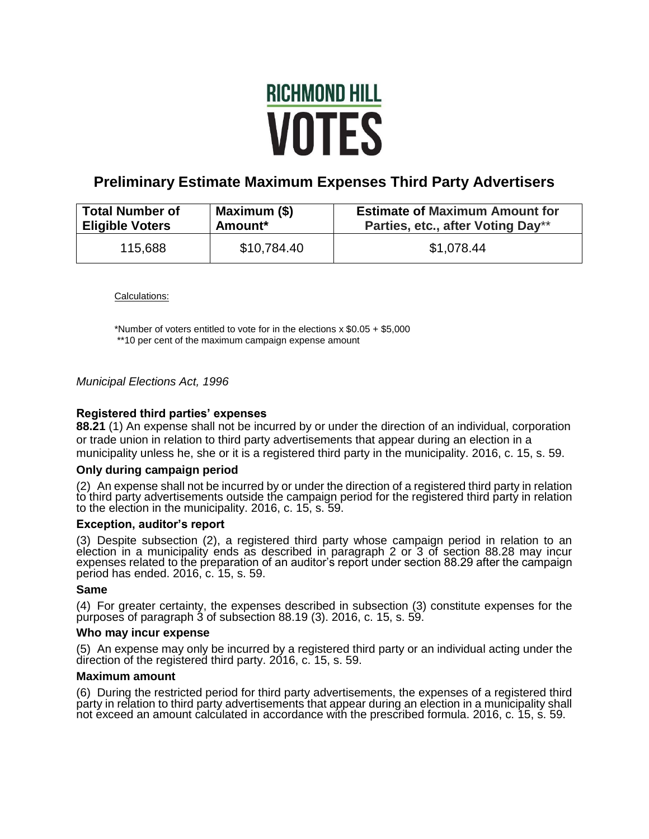# **RICHMOND HILL VOTES**

# **Preliminary Estimate Maximum Expenses Third Party Advertisers**

| <b>Total Number of</b> | Maximum (\$)        | <b>Estimate of Maximum Amount for</b> |
|------------------------|---------------------|---------------------------------------|
| <b>Eligible Voters</b> | Amount <sup>*</sup> | Parties, etc., after Voting Day**     |
| 115,688                | \$10,784.40         | \$1,078.44                            |

Calculations:

\*Number of voters entitled to vote for in the elections x \$0.05 + \$5,000 \*\*10 per cent of the maximum campaign expense amount

# *Municipal Elections Act, 1996*

# **Registered third parties' expenses**

**88.21** (1) An expense shall not be incurred by or under the direction of an individual, corporation or trade union in relation to third party advertisements that appear during an election in a municipality unless he, she or it is a registered third party in the municipality. 2016, c. 15, s. 59.

## **Only during campaign period**

(2) An expense shall not be incurred by or under the direction of a registered third party in relation to third party advertisements outside the campaign period for the registered third party in relation to the election in the municipality. 2016, c. 15, s. 59.

# **Exception, auditor's report**

(3) Despite subsection (2), a registered third party whose campaign period in relation to an election in a municipality ends as described in paragraph 2 or 3 of section 88.28 may incur expenses related to the preparation of an auditor's report under section 88.29 after the campaign period has ended. 2016, c. 15, s. 59.

## **Same**

(4) For greater certainty, the expenses described in subsection (3) constitute expenses for the purposes of paragraph 3 of subsection 88.19 (3). 2016, c. 15, s. 59.

#### **Who may incur expense**

(5) An expense may only be incurred by a registered third party or an individual acting under the direction of the registered third party. 2016, c. 15, s. 59.

#### **Maximum amount**

(6) During the restricted period for third party advertisements, the expenses of a registered third party in relation to third party advertisements that appear during an election in a municipality shall not exceed an amount calculated in accordance with the prescribed formula. 2016, c. 15, s. 59.